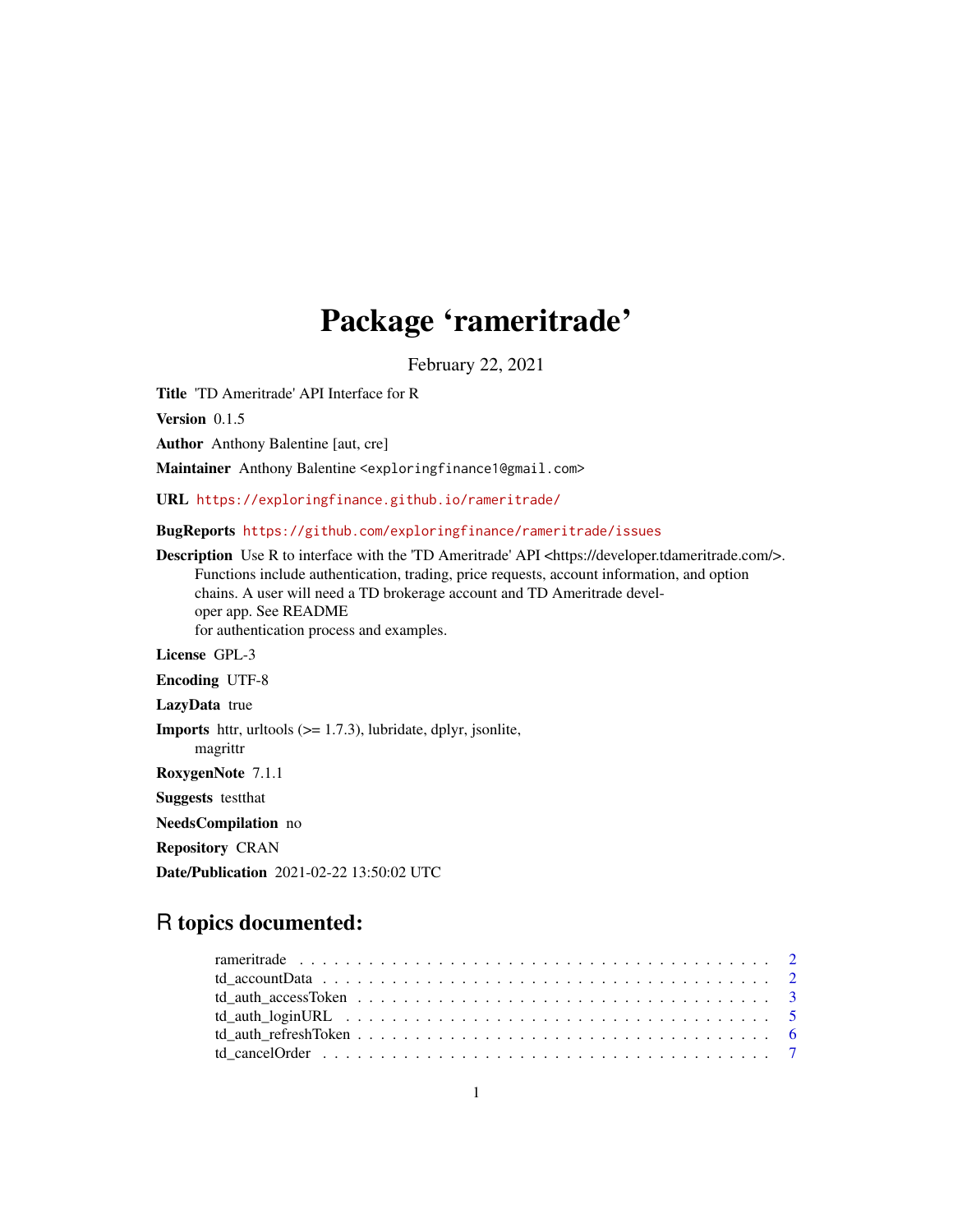# Package 'rameritrade'

February 22, 2021

Title 'TD Ameritrade' API Interface for R

Version 0.1.5

Author Anthony Balentine [aut, cre]

Maintainer Anthony Balentine <exploringfinance1@gmail.com>

URL <https://exploringfinance.github.io/rameritrade/>

BugReports <https://github.com/exploringfinance/rameritrade/issues>

Description Use R to interface with the 'TD Ameritrade' API <https://developer.tdameritrade.com/>. Functions include authentication, trading, price requests, account information, and option chains. A user will need a TD brokerage account and TD Ameritrade developer app. See README for authentication process and examples. License GPL-3 Encoding UTF-8 LazyData true **Imports** httr, uritools  $(>= 1.7.3)$ , lubridate, dplyr, jsonlite, magrittr RoxygenNote 7.1.1 Suggests testthat NeedsCompilation no Repository CRAN Date/Publication 2021-02-22 13:50:02 UTC

## R topics documented: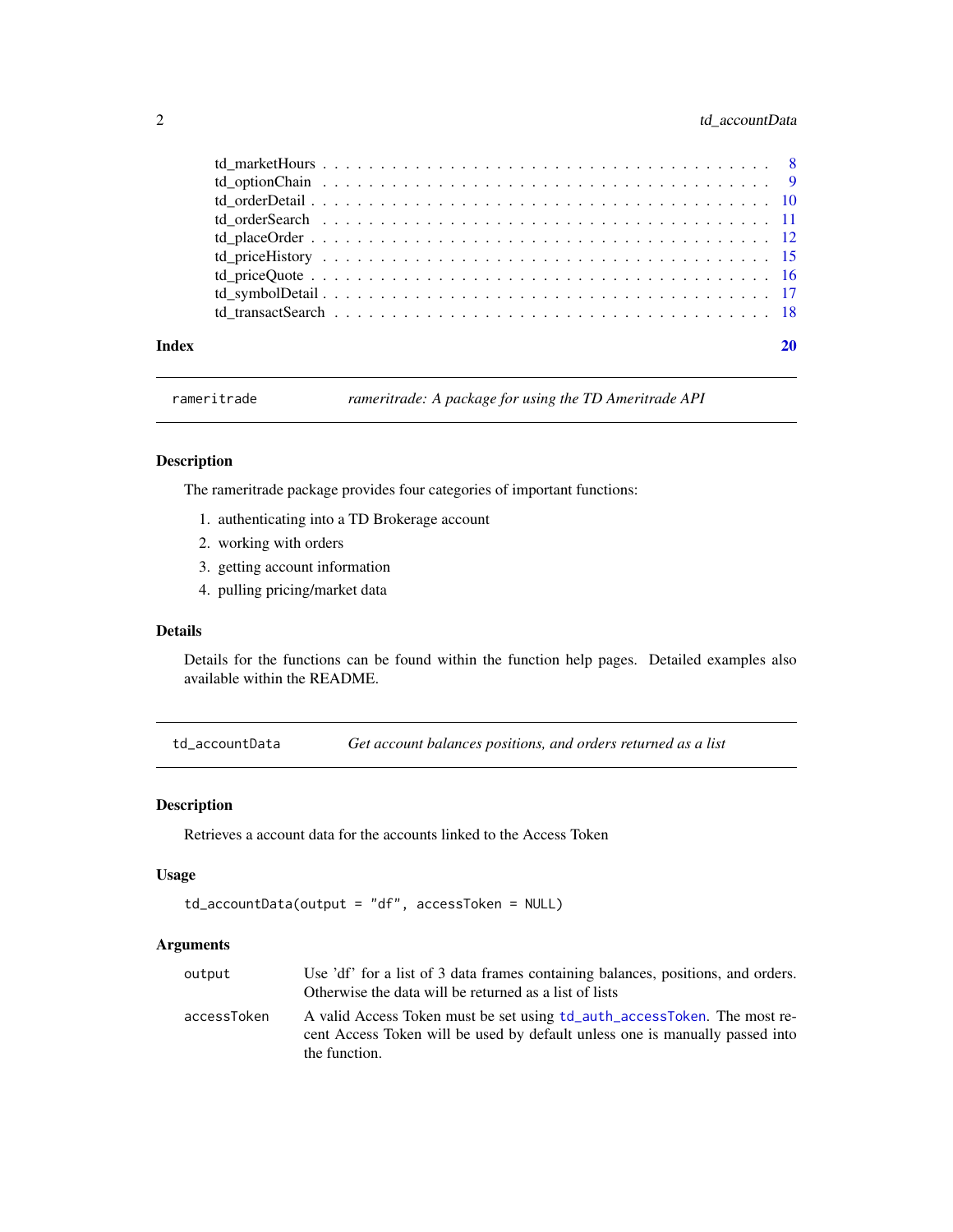#### <span id="page-1-0"></span>2 td\_accountData

| Index |  |
|-------|--|

rameritrade *rameritrade: A package for using the TD Ameritrade API*

#### Description

The rameritrade package provides four categories of important functions:

- 1. authenticating into a TD Brokerage account
- 2. working with orders
- 3. getting account information
- 4. pulling pricing/market data

#### Details

Details for the functions can be found within the function help pages. Detailed examples also available within the README.

td\_accountData *Get account balances positions, and orders returned as a list*

#### Description

Retrieves a account data for the accounts linked to the Access Token

#### Usage

```
td_accountData(output = "df", accessToken = NULL)
```

| output      | Use 'df' for a list of 3 data frames containing balances, positions, and orders.                                                                         |
|-------------|----------------------------------------------------------------------------------------------------------------------------------------------------------|
|             | Otherwise the data will be returned as a list of lists                                                                                                   |
| accessToken | A valid Access Token must be set using td_auth_accessToken. The most re-<br>cent Access Token will be used by default unless one is manually passed into |
|             | the function.                                                                                                                                            |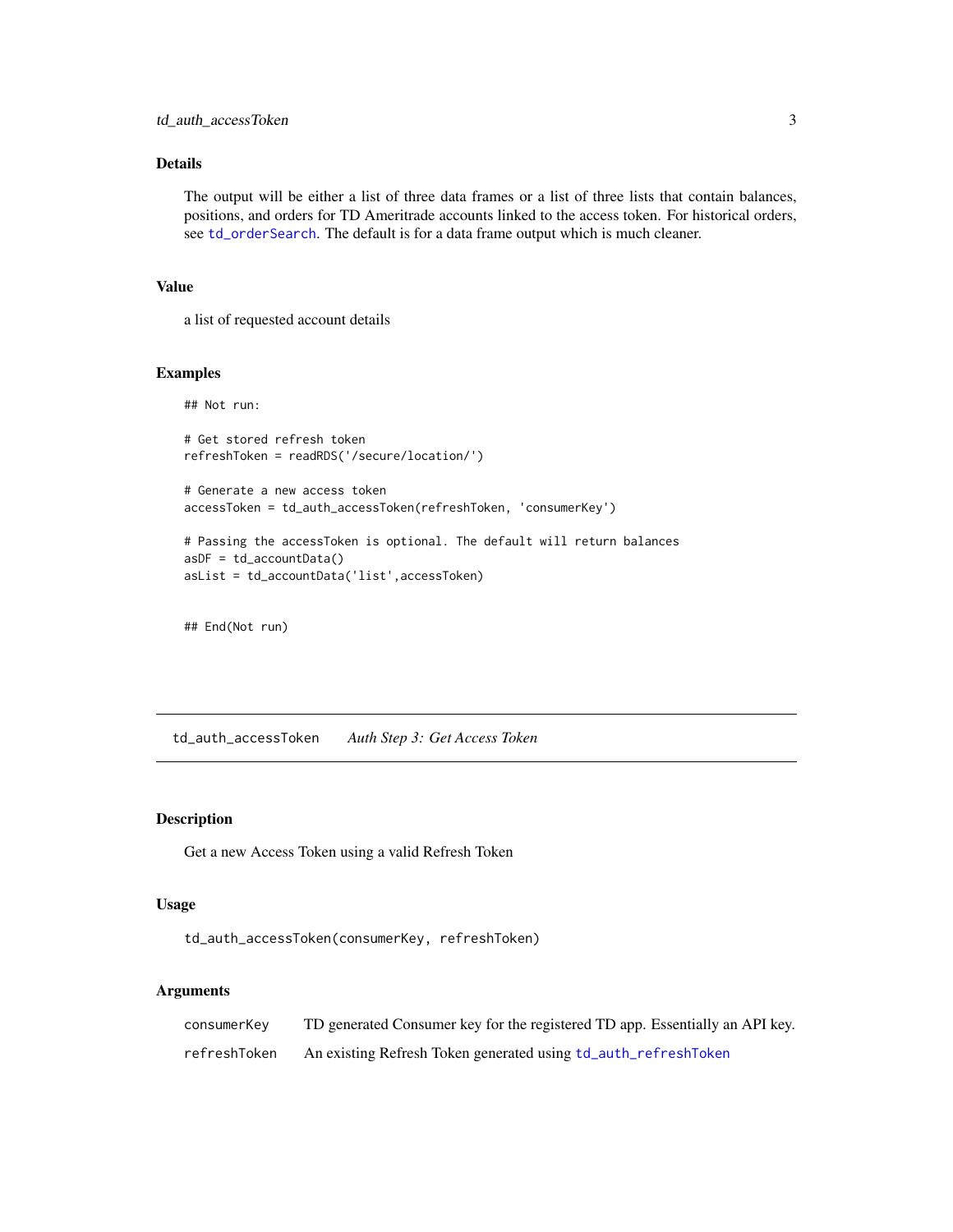<span id="page-2-0"></span>The output will be either a list of three data frames or a list of three lists that contain balances, positions, and orders for TD Ameritrade accounts linked to the access token. For historical orders, see [td\\_orderSearch](#page-10-1). The default is for a data frame output which is much cleaner.

#### Value

a list of requested account details

#### Examples

## Not run:

```
# Get stored refresh token
refreshToken = readRDS('/secure/location/')
```

```
# Generate a new access token
accessToken = td_auth_accessToken(refreshToken, 'consumerKey')
```

```
# Passing the accessToken is optional. The default will return balances
asDF = td_accountData()
asList = td_accountData('list',accessToken)
```
## End(Not run)

<span id="page-2-1"></span>td\_auth\_accessToken *Auth Step 3: Get Access Token*

#### Description

Get a new Access Token using a valid Refresh Token

#### Usage

td\_auth\_accessToken(consumerKey, refreshToken)

| consumerKey  | TD generated Consumer key for the registered TD app. Essentially an API key. |
|--------------|------------------------------------------------------------------------------|
| refreshToken | An existing Refresh Token generated using td_auth_refreshToken               |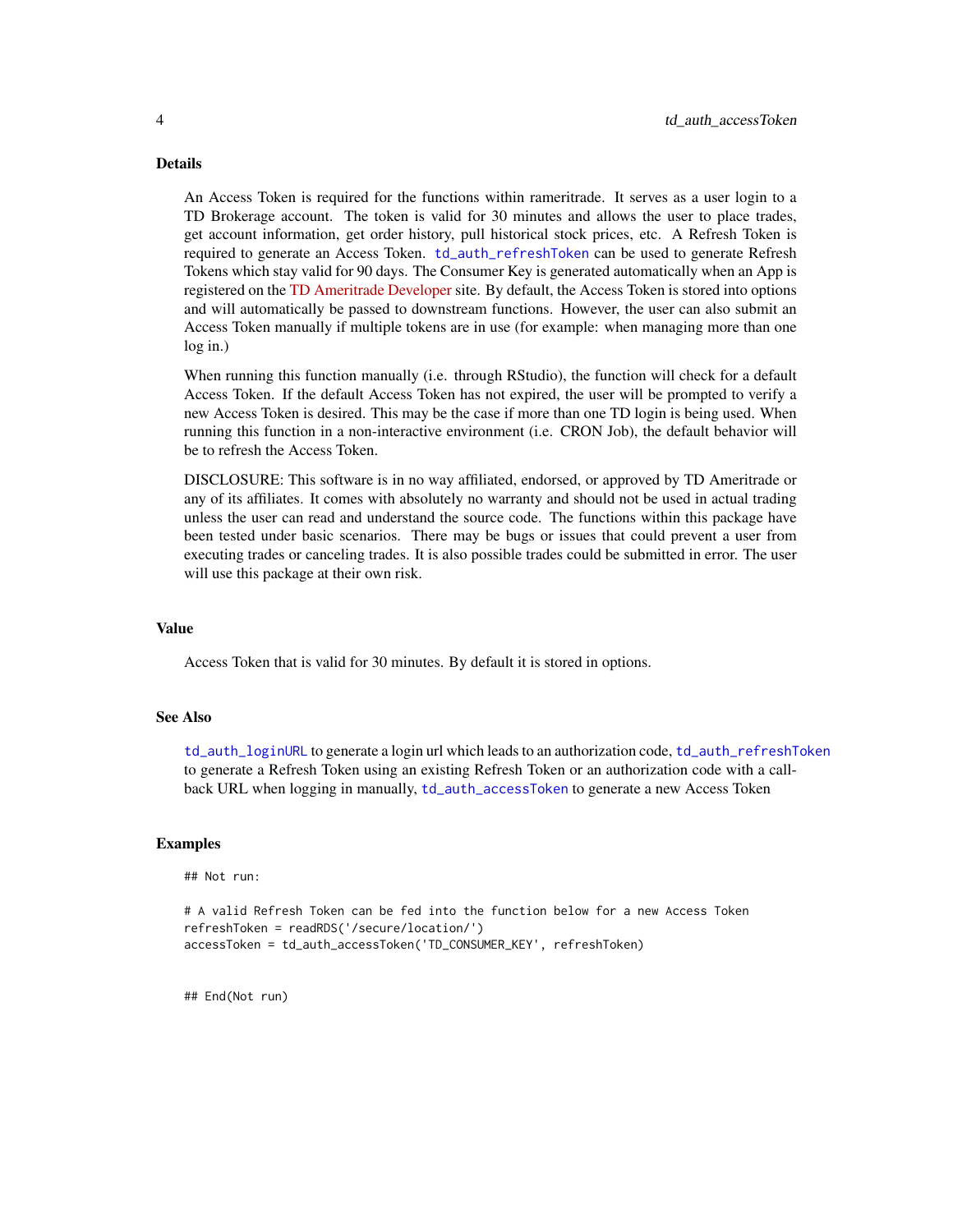<span id="page-3-0"></span>An Access Token is required for the functions within rameritrade. It serves as a user login to a TD Brokerage account. The token is valid for 30 minutes and allows the user to place trades, get account information, get order history, pull historical stock prices, etc. A Refresh Token is required to generate an Access Token. [td\\_auth\\_refreshToken](#page-5-1) can be used to generate Refresh Tokens which stay valid for 90 days. The Consumer Key is generated automatically when an App is registered on the [TD Ameritrade Developer](https://developer.tdameritrade.com/) site. By default, the Access Token is stored into options and will automatically be passed to downstream functions. However, the user can also submit an Access Token manually if multiple tokens are in use (for example: when managing more than one log in.)

When running this function manually (i.e. through RStudio), the function will check for a default Access Token. If the default Access Token has not expired, the user will be prompted to verify a new Access Token is desired. This may be the case if more than one TD login is being used. When running this function in a non-interactive environment (i.e. CRON Job), the default behavior will be to refresh the Access Token.

DISCLOSURE: This software is in no way affiliated, endorsed, or approved by TD Ameritrade or any of its affiliates. It comes with absolutely no warranty and should not be used in actual trading unless the user can read and understand the source code. The functions within this package have been tested under basic scenarios. There may be bugs or issues that could prevent a user from executing trades or canceling trades. It is also possible trades could be submitted in error. The user will use this package at their own risk.

#### Value

Access Token that is valid for 30 minutes. By default it is stored in options.

#### See Also

[td\\_auth\\_loginURL](#page-4-1) to generate a login url which leads to an authorization code, [td\\_auth\\_refreshToken](#page-5-1) to generate a Refresh Token using an existing Refresh Token or an authorization code with a callback URL when logging in manually, [td\\_auth\\_accessToken](#page-2-1) to generate a new Access Token

#### Examples

## Not run:

```
# A valid Refresh Token can be fed into the function below for a new Access Token
refreshToken = readRDS('/secure/location/')
accessToken = td_auth_accessToken('TD_CONSUMER_KEY', refreshToken)
```
## End(Not run)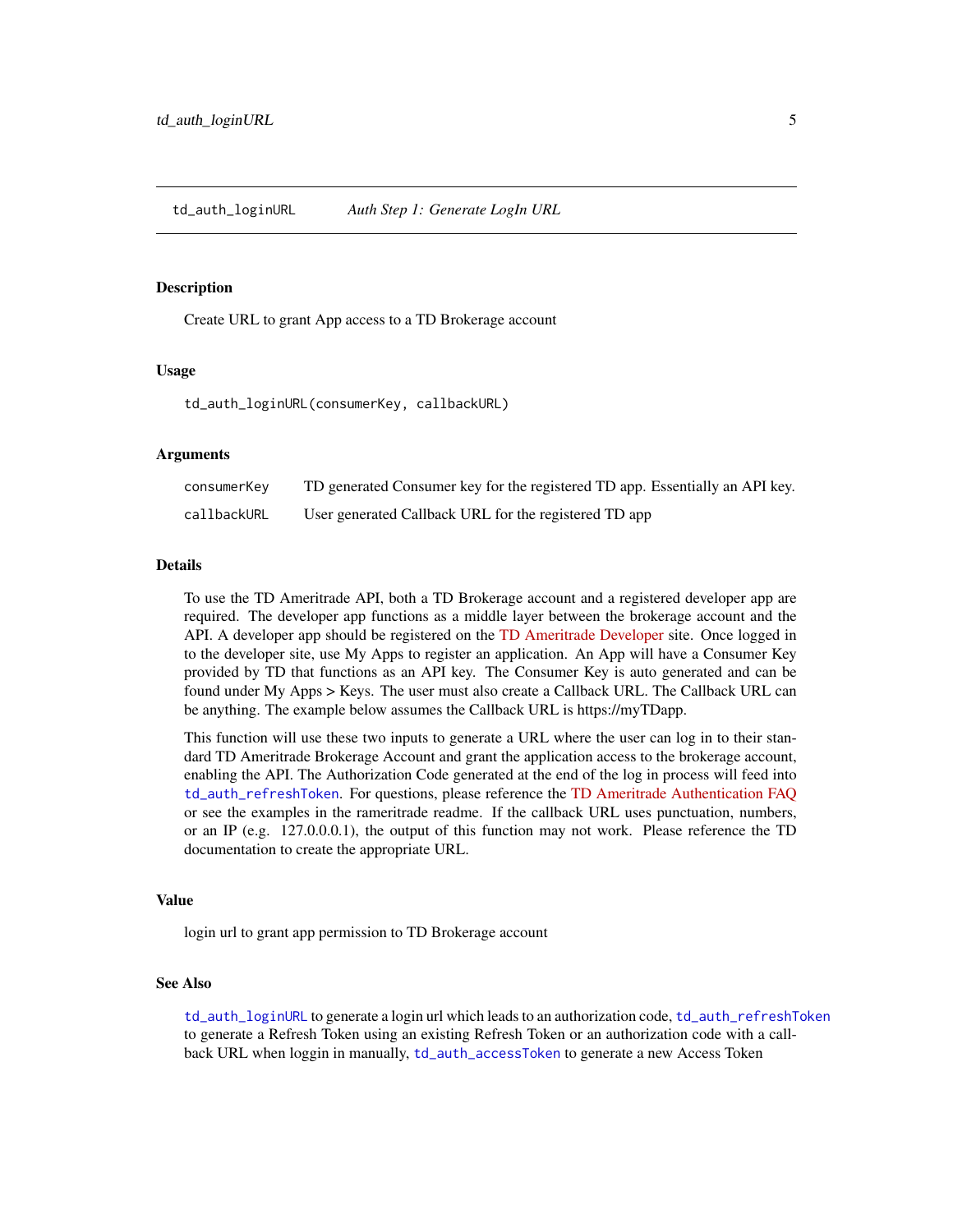#### <span id="page-4-1"></span><span id="page-4-0"></span>**Description**

Create URL to grant App access to a TD Brokerage account

#### Usage

td\_auth\_loginURL(consumerKey, callbackURL)

#### Arguments

| consumerKey | TD generated Consumer key for the registered TD app. Essentially an API key. |
|-------------|------------------------------------------------------------------------------|
| callbackURL | User generated Callback URL for the registered TD app                        |

#### Details

To use the TD Ameritrade API, both a TD Brokerage account and a registered developer app are required. The developer app functions as a middle layer between the brokerage account and the API. A developer app should be registered on the [TD Ameritrade Developer](https://developer.tdameritrade.com/) site. Once logged in to the developer site, use My Apps to register an application. An App will have a Consumer Key provided by TD that functions as an API key. The Consumer Key is auto generated and can be found under My Apps > Keys. The user must also create a Callback URL. The Callback URL can be anything. The example below assumes the Callback URL is https://myTDapp.

This function will use these two inputs to generate a URL where the user can log in to their standard TD Ameritrade Brokerage Account and grant the application access to the brokerage account, enabling the API. The Authorization Code generated at the end of the log in process will feed into [td\\_auth\\_refreshToken](#page-5-1). For questions, please reference the [TD Ameritrade Authentication FAQ](https://developer.tdameritrade.com/content/authentication-faq) or see the examples in the rameritrade readme. If the callback URL uses punctuation, numbers, or an IP (e.g. 127.0.0.0.1), the output of this function may not work. Please reference the TD documentation to create the appropriate URL.

#### Value

login url to grant app permission to TD Brokerage account

#### See Also

[td\\_auth\\_loginURL](#page-4-1) to generate a login url which leads to an authorization code, [td\\_auth\\_refreshToken](#page-5-1) to generate a Refresh Token using an existing Refresh Token or an authorization code with a callback URL when loggin in manually, [td\\_auth\\_accessToken](#page-2-1) to generate a new Access Token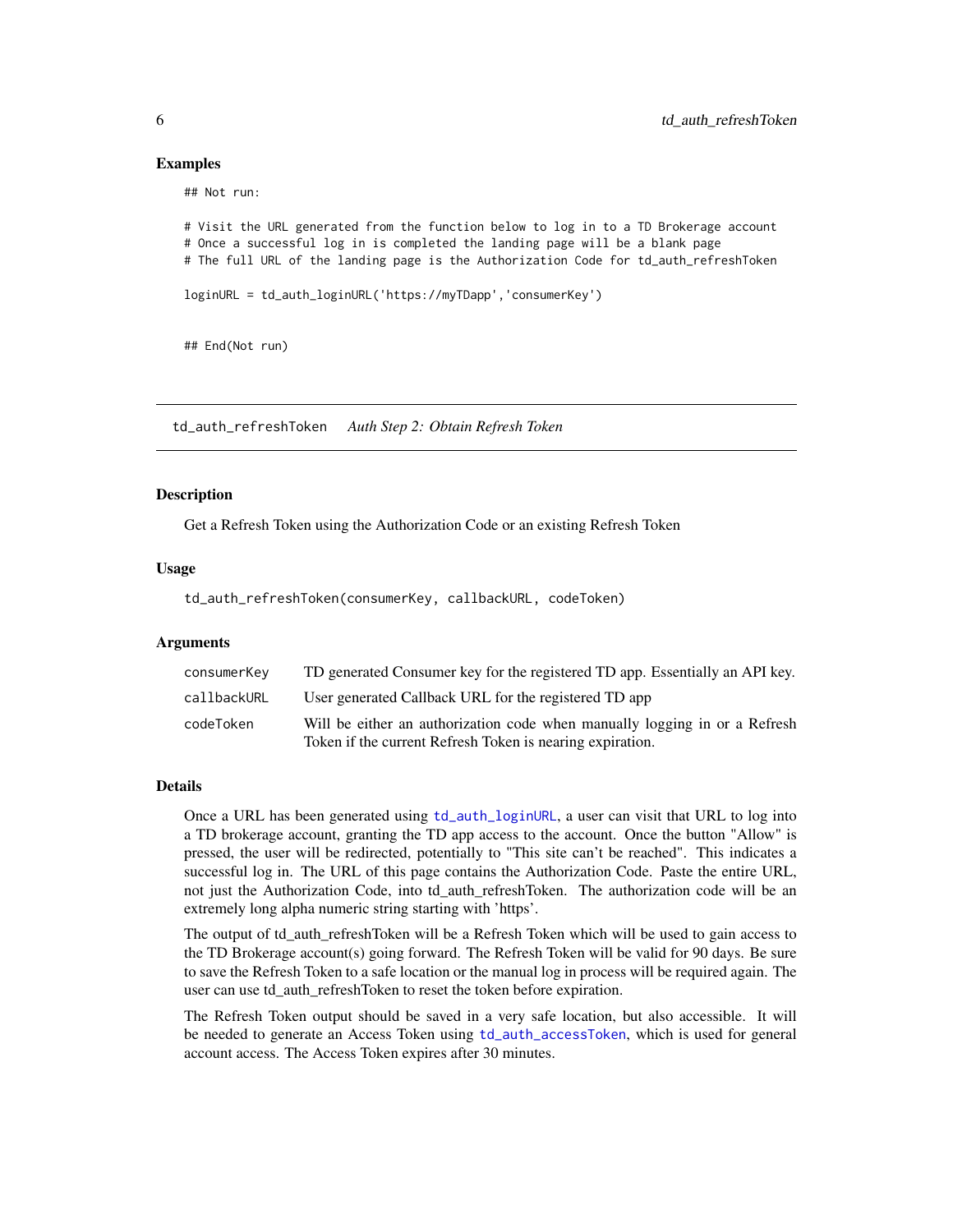#### Examples

## Not run:

```
# Visit the URL generated from the function below to log in to a TD Brokerage account
# Once a successful log in is completed the landing page will be a blank page
# The full URL of the landing page is the Authorization Code for td_auth_refreshToken
loginURL = td_auth_loginURL('https://myTDapp','consumerKey')
## End(Not run)
```
<span id="page-5-1"></span>td\_auth\_refreshToken *Auth Step 2: Obtain Refresh Token*

#### Description

Get a Refresh Token using the Authorization Code or an existing Refresh Token

#### Usage

td\_auth\_refreshToken(consumerKey, callbackURL, codeToken)

#### Arguments

| consumerKey | TD generated Consumer key for the registered TD app. Essentially an API key.                                                            |
|-------------|-----------------------------------------------------------------------------------------------------------------------------------------|
| callbackURL | User generated Callback URL for the registered TD app                                                                                   |
| codeToken   | Will be either an authorization code when manually logging in or a Refresh<br>Token if the current Refresh Token is nearing expiration. |

#### Details

Once a URL has been generated using [td\\_auth\\_loginURL](#page-4-1), a user can visit that URL to log into a TD brokerage account, granting the TD app access to the account. Once the button "Allow" is pressed, the user will be redirected, potentially to "This site can't be reached". This indicates a successful log in. The URL of this page contains the Authorization Code. Paste the entire URL, not just the Authorization Code, into td\_auth\_refreshToken. The authorization code will be an extremely long alpha numeric string starting with 'https'.

The output of td auth refreshToken will be a Refresh Token which will be used to gain access to the TD Brokerage account(s) going forward. The Refresh Token will be valid for 90 days. Be sure to save the Refresh Token to a safe location or the manual log in process will be required again. The user can use td\_auth\_refreshToken to reset the token before expiration.

The Refresh Token output should be saved in a very safe location, but also accessible. It will be needed to generate an Access Token using [td\\_auth\\_accessToken](#page-2-1), which is used for general account access. The Access Token expires after 30 minutes.

<span id="page-5-0"></span>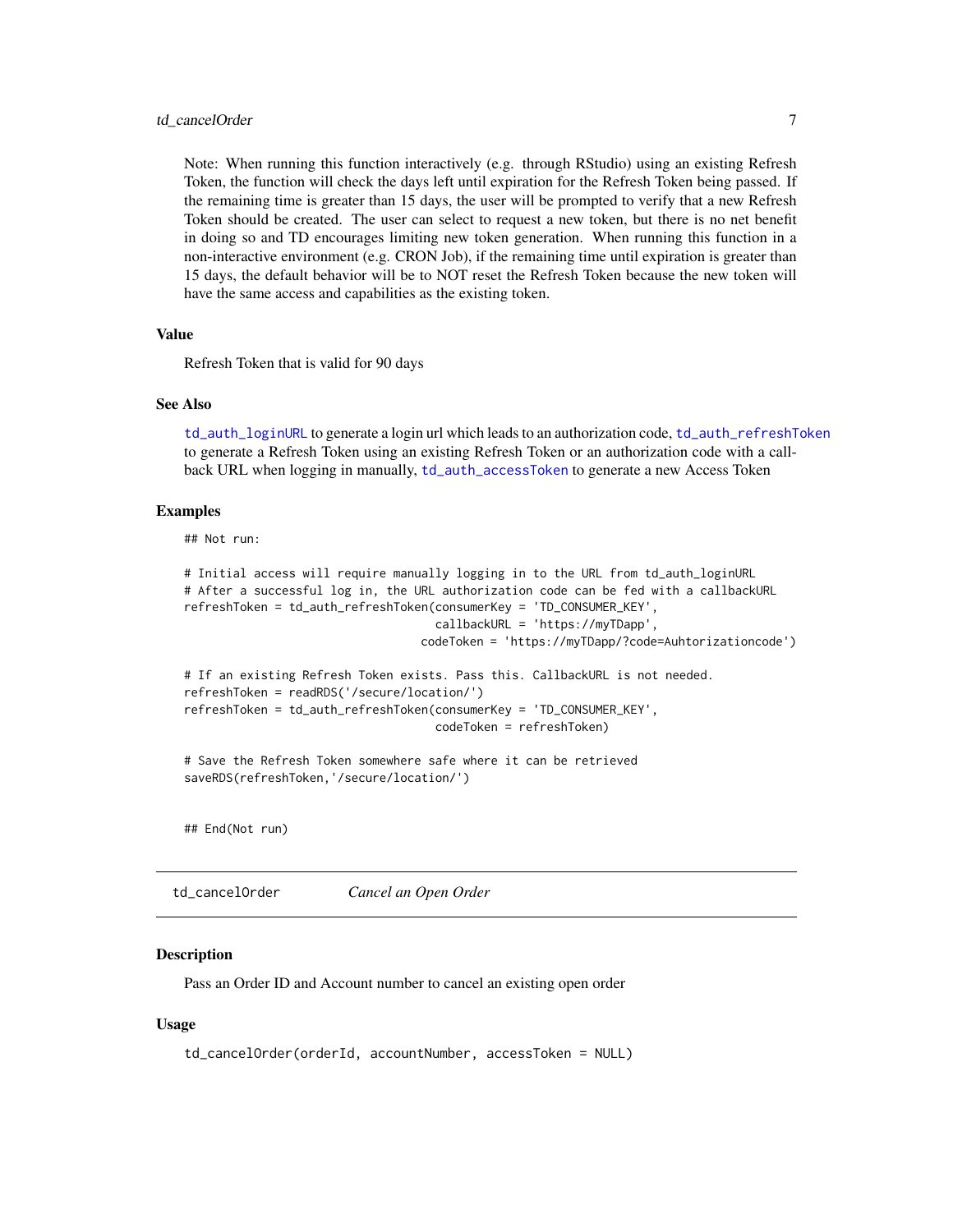#### <span id="page-6-0"></span>td cancelOrder 7 and 2008 7 and 2008 7 and 2008 7 and 2008 7 and 2008 7 and 2008 7 and 2008 7 and 2008 7 and 2008 7 and 2008 7 and 2008 7 and 2008 7 and 2008 7 and 2008 7 and 2008 7 and 2008 7 and 2008 7 and 2008 7 and 200

Note: When running this function interactively (e.g. through RStudio) using an existing Refresh Token, the function will check the days left until expiration for the Refresh Token being passed. If the remaining time is greater than 15 days, the user will be prompted to verify that a new Refresh Token should be created. The user can select to request a new token, but there is no net benefit in doing so and TD encourages limiting new token generation. When running this function in a non-interactive environment (e.g. CRON Job), if the remaining time until expiration is greater than 15 days, the default behavior will be to NOT reset the Refresh Token because the new token will have the same access and capabilities as the existing token.

#### Value

Refresh Token that is valid for 90 days

#### See Also

[td\\_auth\\_loginURL](#page-4-1) to generate a login url which leads to an authorization code, [td\\_auth\\_refreshToken](#page-5-1) to generate a Refresh Token using an existing Refresh Token or an authorization code with a callback URL when logging in manually, [td\\_auth\\_accessToken](#page-2-1) to generate a new Access Token

#### Examples

## Not run:

```
# Initial access will require manually logging in to the URL from td_auth_loginURL
# After a successful log in, the URL authorization code can be fed with a callbackURL
refreshToken = td_auth_refreshToken(consumerKey = 'TD_CONSUMER_KEY',
                                    callbackURL = 'https://myTDapp',
                                  codeToken = 'https://myTDapp/?code=Auhtorizationcode')
# If an existing Refresh Token exists. Pass this. CallbackURL is not needed.
refreshToken = readRDS('/secure/location/')
refreshToken = td_auth_refreshToken(consumerKey = 'TD_CONSUMER_KEY',
                                   codeToken = refreshToken)
```
# Save the Refresh Token somewhere safe where it can be retrieved saveRDS(refreshToken,'/secure/location/')

## End(Not run)

td\_cancelOrder *Cancel an Open Order*

#### Description

Pass an Order ID and Account number to cancel an existing open order

#### Usage

```
td_cancelOrder(orderId, accountNumber, accessToken = NULL)
```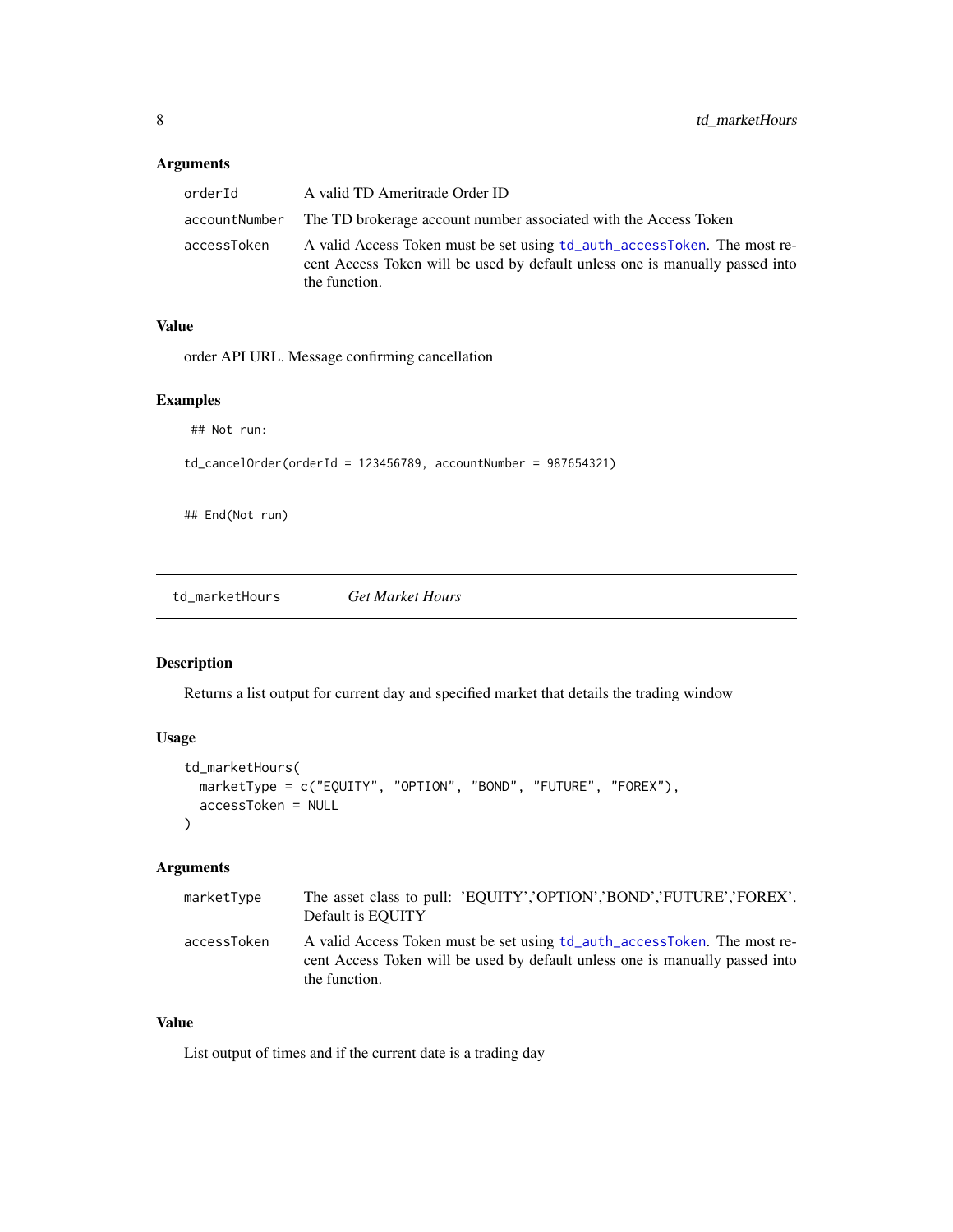#### <span id="page-7-0"></span>Arguments

| orderId     | A valid TD Ameritrade Order ID                                                                                                                                            |
|-------------|---------------------------------------------------------------------------------------------------------------------------------------------------------------------------|
|             | accountNumber — The TD brokerage account number associated with the Access Token                                                                                          |
| accessToken | A valid Access Token must be set using td_auth_accessToken. The most re-<br>cent Access Token will be used by default unless one is manually passed into<br>the function. |

#### Value

order API URL. Message confirming cancellation

#### Examples

```
## Not run:
```
 $td\_cancelOrder(orderId = 123456789, accountNumber = 987654321)$ 

## End(Not run)

td\_marketHours *Get Market Hours*

#### Description

Returns a list output for current day and specified market that details the trading window

#### Usage

```
td_marketHours(
  marketType = c("EQUITY", "OPTION", "BOND", "FUTURE", "FOREX"),
  accessToken = NULL
\mathcal{L}
```
#### Arguments

| marketType  | The asset class to pull: 'EQUITY','OPTION','BOND','FUTURE','FOREX'.<br>Default is EQUITY                                                                                  |
|-------------|---------------------------------------------------------------------------------------------------------------------------------------------------------------------------|
| accessToken | A valid Access Token must be set using td_auth_accessToken. The most re-<br>cent Access Token will be used by default unless one is manually passed into<br>the function. |

#### Value

List output of times and if the current date is a trading day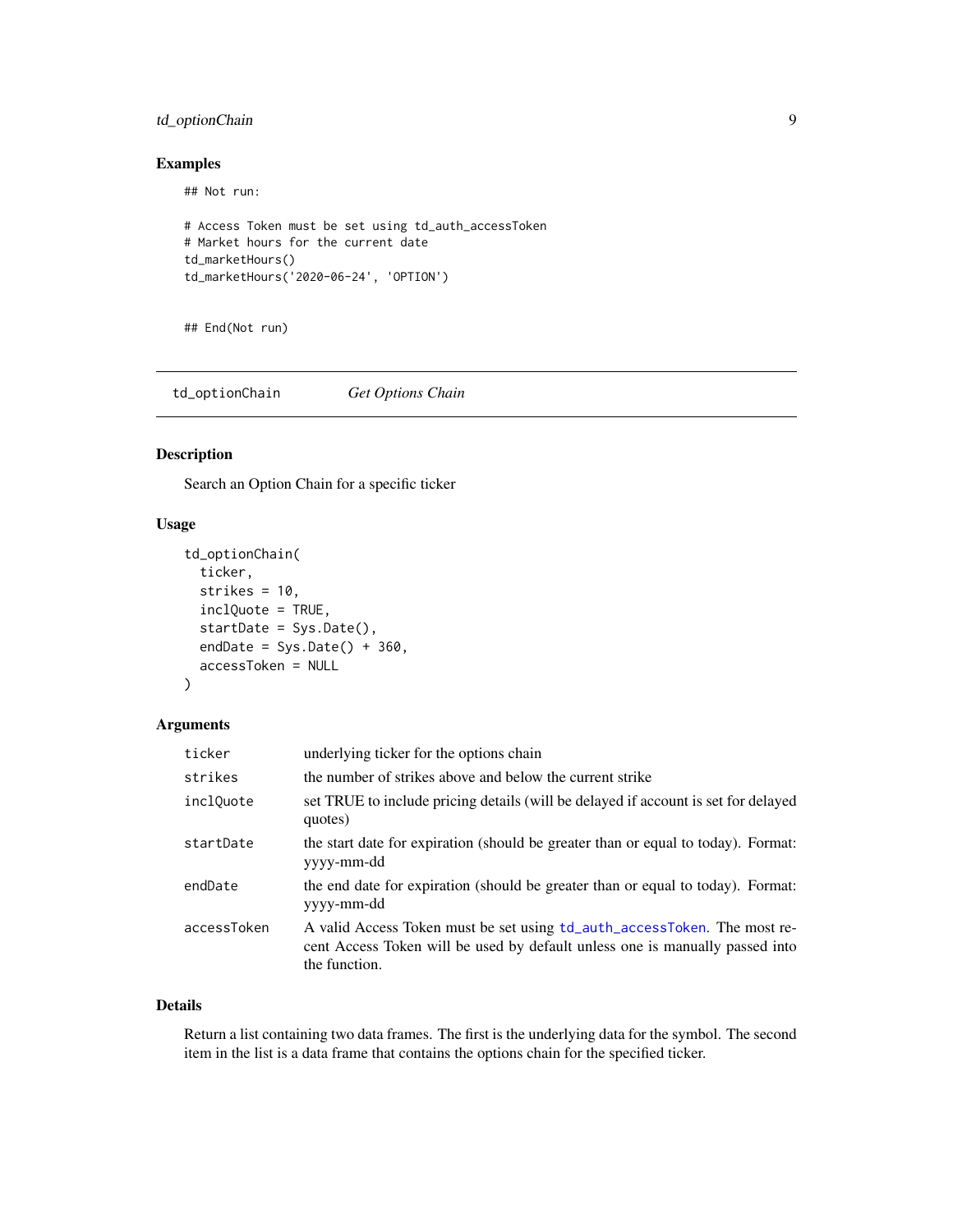#### <span id="page-8-0"></span>td\_optionChain 9

#### Examples

## Not run:

```
# Access Token must be set using td_auth_accessToken
# Market hours for the current date
td_marketHours()
td_marketHours('2020-06-24', 'OPTION')
```
## End(Not run)

td\_optionChain *Get Options Chain*

#### Description

Search an Option Chain for a specific ticker

#### Usage

```
td_optionChain(
  ticker,
  strikes = 10,
  inclQuote = TRUE,
  startDate = Sys.Date(),
  endDate = Sys.Date() + 360,accessToken = NULL
\mathcal{L}
```
#### Arguments

| ticker                | underlying ticker for the options chain                                                                                                                                   |
|-----------------------|---------------------------------------------------------------------------------------------------------------------------------------------------------------------------|
| strikes               | the number of strikes above and below the current strike                                                                                                                  |
| incl <sub>Ouote</sub> | set TRUE to include pricing details (will be delayed if account is set for delayed<br>quotes)                                                                             |
| startDate             | the start date for expiration (should be greater than or equal to today). Format:<br>yyyy-mm-dd                                                                           |
| endDate               | the end date for expiration (should be greater than or equal to today). Format:<br>yyyy-mm-dd                                                                             |
| accessToken           | A valid Access Token must be set using td_auth_accessToken. The most re-<br>cent Access Token will be used by default unless one is manually passed into<br>the function. |

#### Details

Return a list containing two data frames. The first is the underlying data for the symbol. The second item in the list is a data frame that contains the options chain for the specified ticker.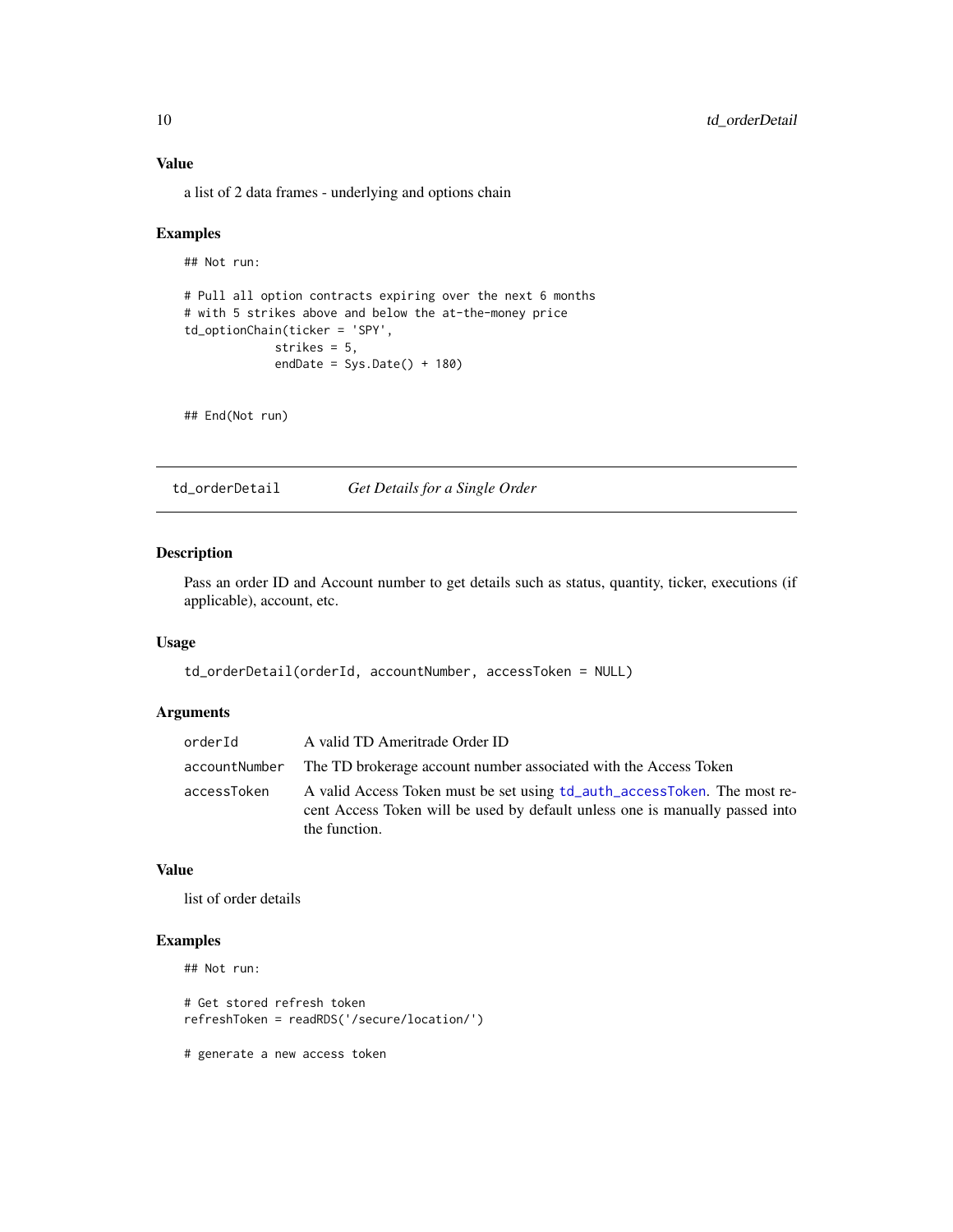<span id="page-9-0"></span>a list of 2 data frames - underlying and options chain

#### Examples

```
## Not run:
# Pull all option contracts expiring over the next 6 months
# with 5 strikes above and below the at-the-money price
td_optionChain(ticker = 'SPY',
            strikes = 5,
            endDate = Sys.Date() + 180)
```
## End(Not run)

td\_orderDetail *Get Details for a Single Order*

#### Description

Pass an order ID and Account number to get details such as status, quantity, ticker, executions (if applicable), account, etc.

#### Usage

```
td_orderDetail(orderId, accountNumber, accessToken = NULL)
```
#### Arguments

| orderId     | A valid TD Ameritrade Order ID                                                                                                                                            |
|-------------|---------------------------------------------------------------------------------------------------------------------------------------------------------------------------|
|             | accountNumber — The TD brokerage account number associated with the Access Token                                                                                          |
| accessToken | A valid Access Token must be set using td_auth_accessToken. The most re-<br>cent Access Token will be used by default unless one is manually passed into<br>the function. |

#### Value

list of order details

#### Examples

```
## Not run:
```
# Get stored refresh token refreshToken = readRDS('/secure/location/')

# generate a new access token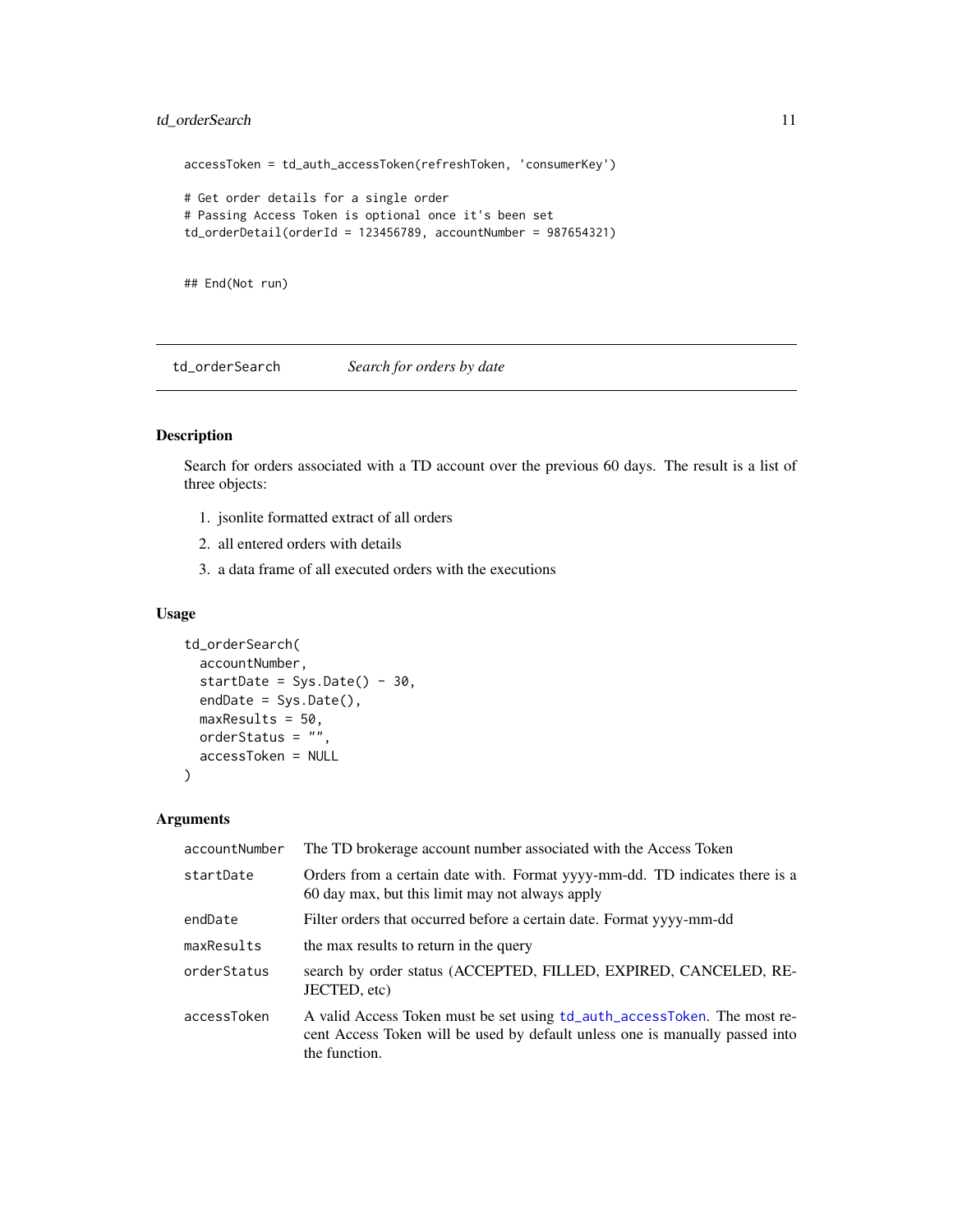#### <span id="page-10-0"></span>td\_orderSearch 11

```
accessToken = td_auth_accessToken(refreshToken, 'consumerKey')
# Get order details for a single order
# Passing Access Token is optional once it's been set
td\_orderDetails(orderId = 123456789, accountNumber = 987654321)
```
## End(Not run)

<span id="page-10-1"></span>td\_orderSearch *Search for orders by date*

#### Description

Search for orders associated with a TD account over the previous 60 days. The result is a list of three objects:

- 1. jsonlite formatted extract of all orders
- 2. all entered orders with details
- 3. a data frame of all executed orders with the executions

#### Usage

```
td_orderSearch(
  accountNumber,
  startDate = Sys.Date() - 30,endDate = Sys.Date(),
 maxResults = 50,
 orderStatus = ",
  accessToken = NULL
)
```

| accountNumber | The TD brokerage account number associated with the Access Token                                                                                                          |
|---------------|---------------------------------------------------------------------------------------------------------------------------------------------------------------------------|
| startDate     | Orders from a certain date with. Format yyyy-mm-dd. TD indicates there is a<br>60 day max, but this limit may not always apply                                            |
| endDate       | Filter orders that occurred before a certain date. Format yyyy-mm-dd                                                                                                      |
| maxResults    | the max results to return in the query                                                                                                                                    |
| orderStatus   | search by order status (ACCEPTED, FILLED, EXPIRED, CANCELED, RE-<br>JECTED, etc)                                                                                          |
| accessToken   | A valid Access Token must be set using td_auth_accessToken. The most re-<br>cent Access Token will be used by default unless one is manually passed into<br>the function. |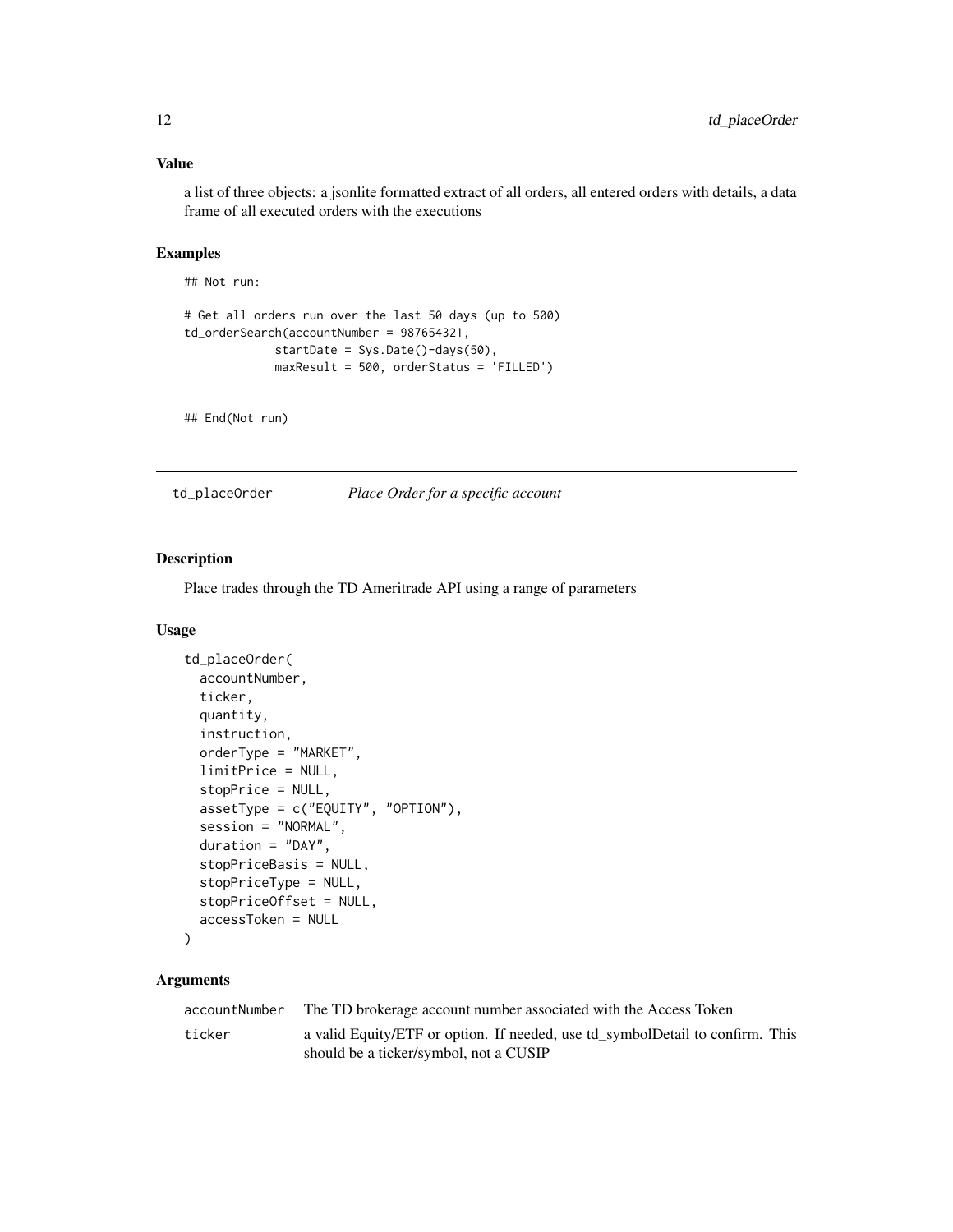#### <span id="page-11-0"></span>Value

a list of three objects: a jsonlite formatted extract of all orders, all entered orders with details, a data frame of all executed orders with the executions

#### Examples

## Not run:

```
# Get all orders run over the last 50 days (up to 500)
td_orderSearch(accountNumber = 987654321,
             startDate = Sys.Date()-days(50),
            maxResult = 500, orderStatus = 'FILLED')
```
## End(Not run)

td\_placeOrder *Place Order for a specific account*

#### Description

Place trades through the TD Ameritrade API using a range of parameters

#### Usage

```
td_placeOrder(
  accountNumber,
  ticker,
  quantity,
  instruction,
  orderType = "MARKET",
  limitPrice = NULL,
  stopPrice = NULL,
  assetType = c("EQUITY", "OPTION"),
  session = "NORMAL",
  duration = "DAY",
  stopPriceBasis = NULL,
  stopPriceType = NULL,
  stopPriceOffset = NULL,
  accessToken = NULL
)
```

| accountNumber | The TD brokerage account number associated with the Access Token                                                        |
|---------------|-------------------------------------------------------------------------------------------------------------------------|
| ticker        | a valid Equity/ETF or option. If needed, use td_symbolDetail to confirm. This<br>should be a ticker/symbol, not a CUSIP |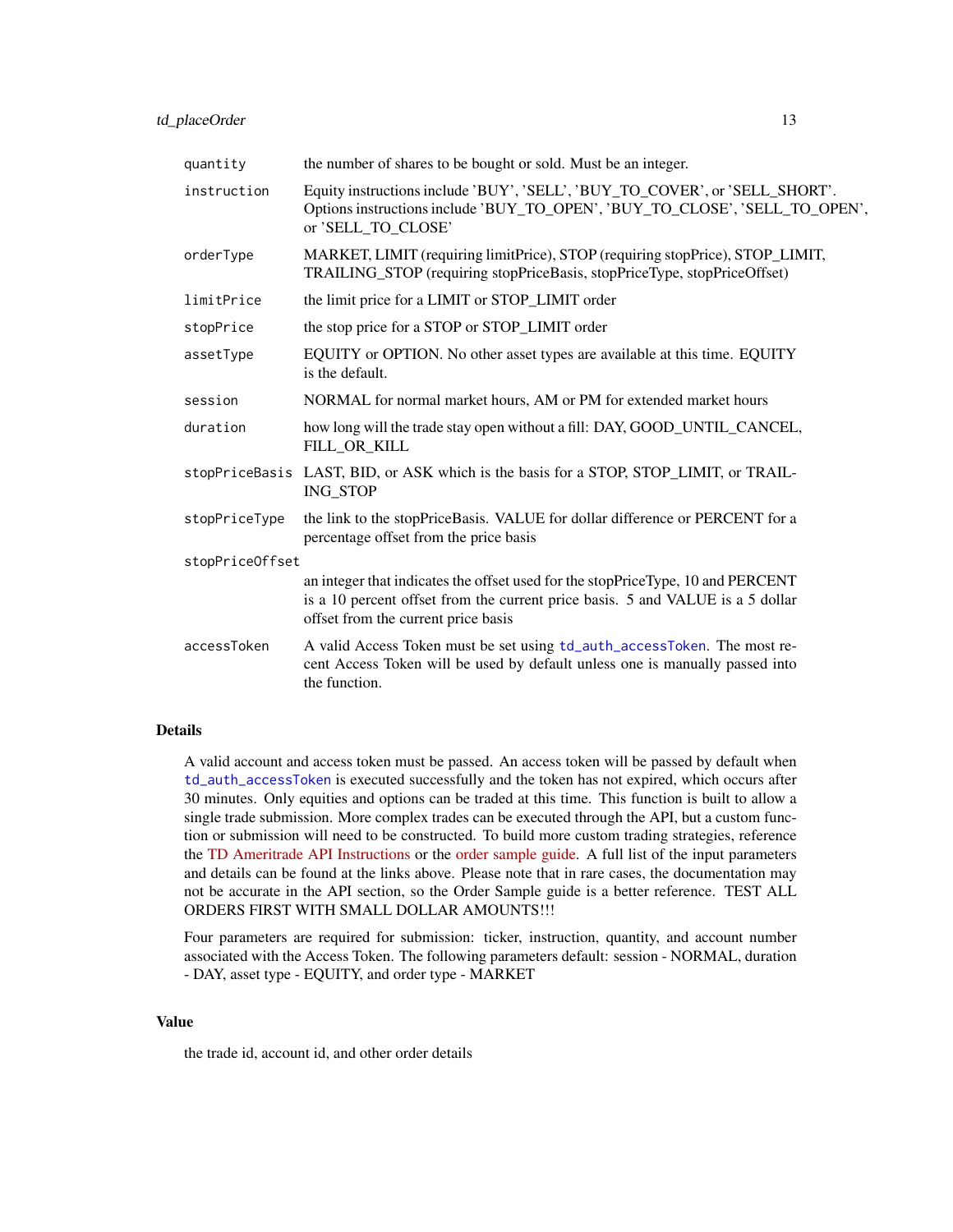<span id="page-12-0"></span>

| quantity        | the number of shares to be bought or sold. Must be an integer.                                                                                                                                           |  |
|-----------------|----------------------------------------------------------------------------------------------------------------------------------------------------------------------------------------------------------|--|
| instruction     | Equity instructions include 'BUY', 'SELL', 'BUY_TO_COVER', or 'SELL_SHORT'.<br>Options instructions include 'BUY_TO_OPEN', 'BUY_TO_CLOSE', 'SELL_TO_OPEN',<br>or 'SELL_TO_CLOSE'                         |  |
| orderType       | MARKET, LIMIT (requiring limitPrice), STOP (requiring stopPrice), STOP_LIMIT,<br>TRAILING_STOP (requiring stopPriceBasis, stopPriceType, stopPriceOffset)                                                |  |
| limitPrice      | the limit price for a LIMIT or STOP_LIMIT order                                                                                                                                                          |  |
| stopPrice       | the stop price for a STOP or STOP_LIMIT order                                                                                                                                                            |  |
| assetType       | EQUITY or OPTION. No other asset types are available at this time. EQUITY<br>is the default.                                                                                                             |  |
| session         | NORMAL for normal market hours, AM or PM for extended market hours                                                                                                                                       |  |
| duration        | how long will the trade stay open without a fill: DAY, GOOD_UNTIL_CANCEL,<br>FILL_OR_KILL                                                                                                                |  |
|                 | stopPriceBasis LAST, BID, or ASK which is the basis for a STOP, STOP_LIMIT, or TRAIL-<br>ING_STOP                                                                                                        |  |
| stopPriceType   | the link to the stopPriceBasis. VALUE for dollar difference or PERCENT for a<br>percentage offset from the price basis                                                                                   |  |
| stopPriceOffset |                                                                                                                                                                                                          |  |
|                 | an integer that indicates the offset used for the stopPriceType, 10 and PERCENT<br>is a 10 percent offset from the current price basis. 5 and VALUE is a 5 dollar<br>offset from the current price basis |  |
| accessToken     | A valid Access Token must be set using td_auth_accessToken. The most re-<br>cent Access Token will be used by default unless one is manually passed into<br>the function.                                |  |

A valid account and access token must be passed. An access token will be passed by default when [td\\_auth\\_accessToken](#page-2-1) is executed successfully and the token has not expired, which occurs after 30 minutes. Only equities and options can be traded at this time. This function is built to allow a single trade submission. More complex trades can be executed through the API, but a custom function or submission will need to be constructed. To build more custom trading strategies, reference the [TD Ameritrade API Instructions](https://developer.tdameritrade.com/account-access/apis) or the [order sample guide.](https://developer.tdameritrade.com/content/place-order-samples) A full list of the input parameters and details can be found at the links above. Please note that in rare cases, the documentation may not be accurate in the API section, so the Order Sample guide is a better reference. TEST ALL ORDERS FIRST WITH SMALL DOLLAR AMOUNTS!!!

Four parameters are required for submission: ticker, instruction, quantity, and account number associated with the Access Token. The following parameters default: session - NORMAL, duration - DAY, asset type - EQUITY, and order type - MARKET

#### Value

the trade id, account id, and other order details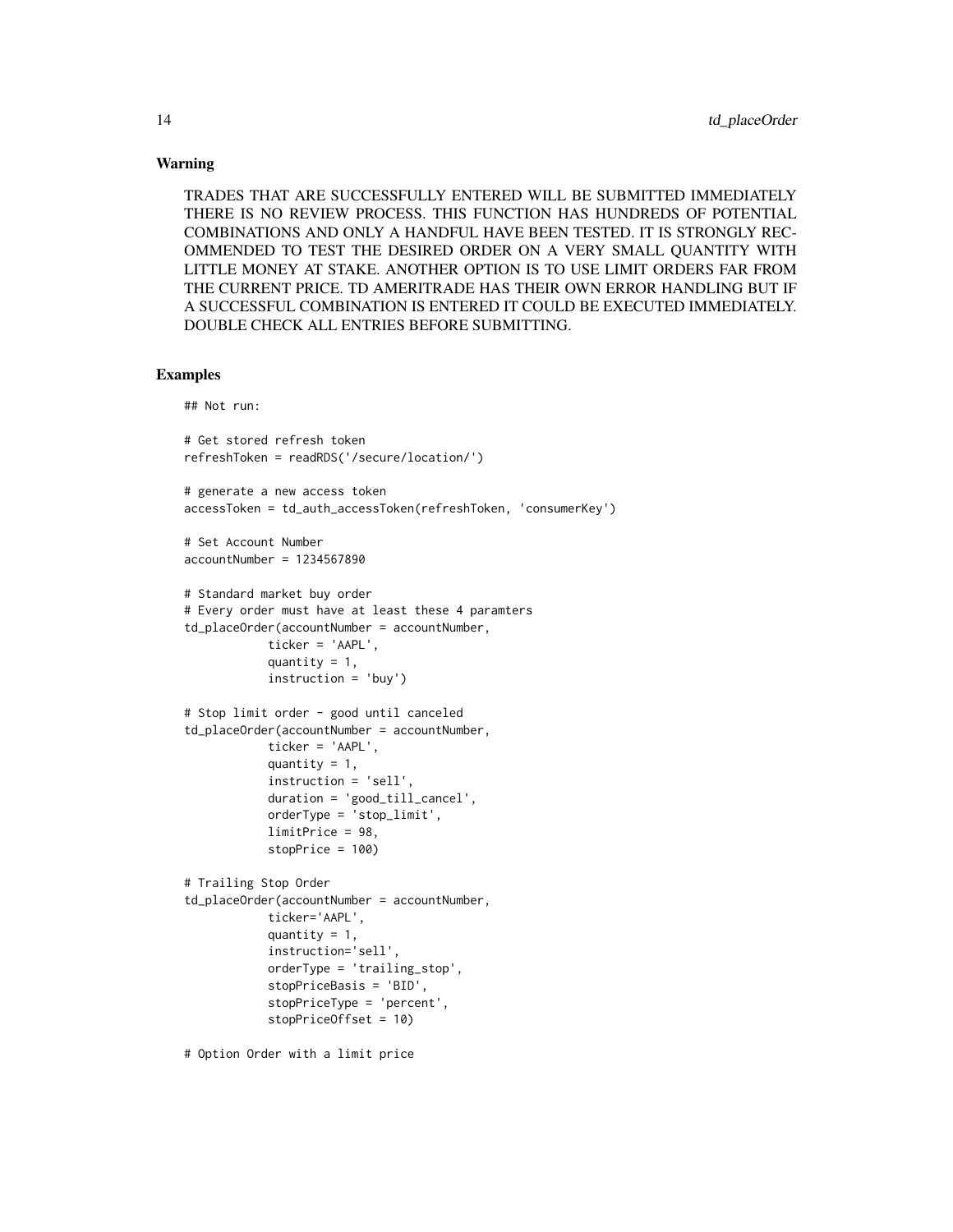#### Warning

TRADES THAT ARE SUCCESSFULLY ENTERED WILL BE SUBMITTED IMMEDIATELY THERE IS NO REVIEW PROCESS. THIS FUNCTION HAS HUNDREDS OF POTENTIAL COMBINATIONS AND ONLY A HANDFUL HAVE BEEN TESTED. IT IS STRONGLY REC-OMMENDED TO TEST THE DESIRED ORDER ON A VERY SMALL QUANTITY WITH LITTLE MONEY AT STAKE. ANOTHER OPTION IS TO USE LIMIT ORDERS FAR FROM THE CURRENT PRICE. TD AMERITRADE HAS THEIR OWN ERROR HANDLING BUT IF A SUCCESSFUL COMBINATION IS ENTERED IT COULD BE EXECUTED IMMEDIATELY. DOUBLE CHECK ALL ENTRIES BEFORE SUBMITTING.

#### Examples

## Not run:

```
# Get stored refresh token
refreshToken = readRDS('/secure/location/')
# generate a new access token
accessToken = td_auth_accessToken(refreshToken, 'consumerKey')
# Set Account Number
accountNumber = 1234567890# Standard market buy order
# Every order must have at least these 4 paramters
td_placeOrder(accountNumber = accountNumber,
            ticker = 'AAPL',
            quantity = 1,
            instruction = 'buy')
# Stop limit order - good until canceled
td_placeOrder(accountNumber = accountNumber,
            ticker = 'AAPL',
            quantity = 1,
            instruction = 'sell',
            duration = 'good_till_cancel',
            orderType = 'stop_limit',
            limitPrice = 98,
            stopPrice = 100)
# Trailing Stop Order
td_placeOrder(accountNumber = accountNumber,
            ticker='AAPL',
            quantity = 1,
            instruction='sell',
            orderType = 'trailing_stop',
            stopPriceBasis = 'BID',
            stopPriceType = 'percent',
            stopPriceOffset = 10)
# Option Order with a limit price
```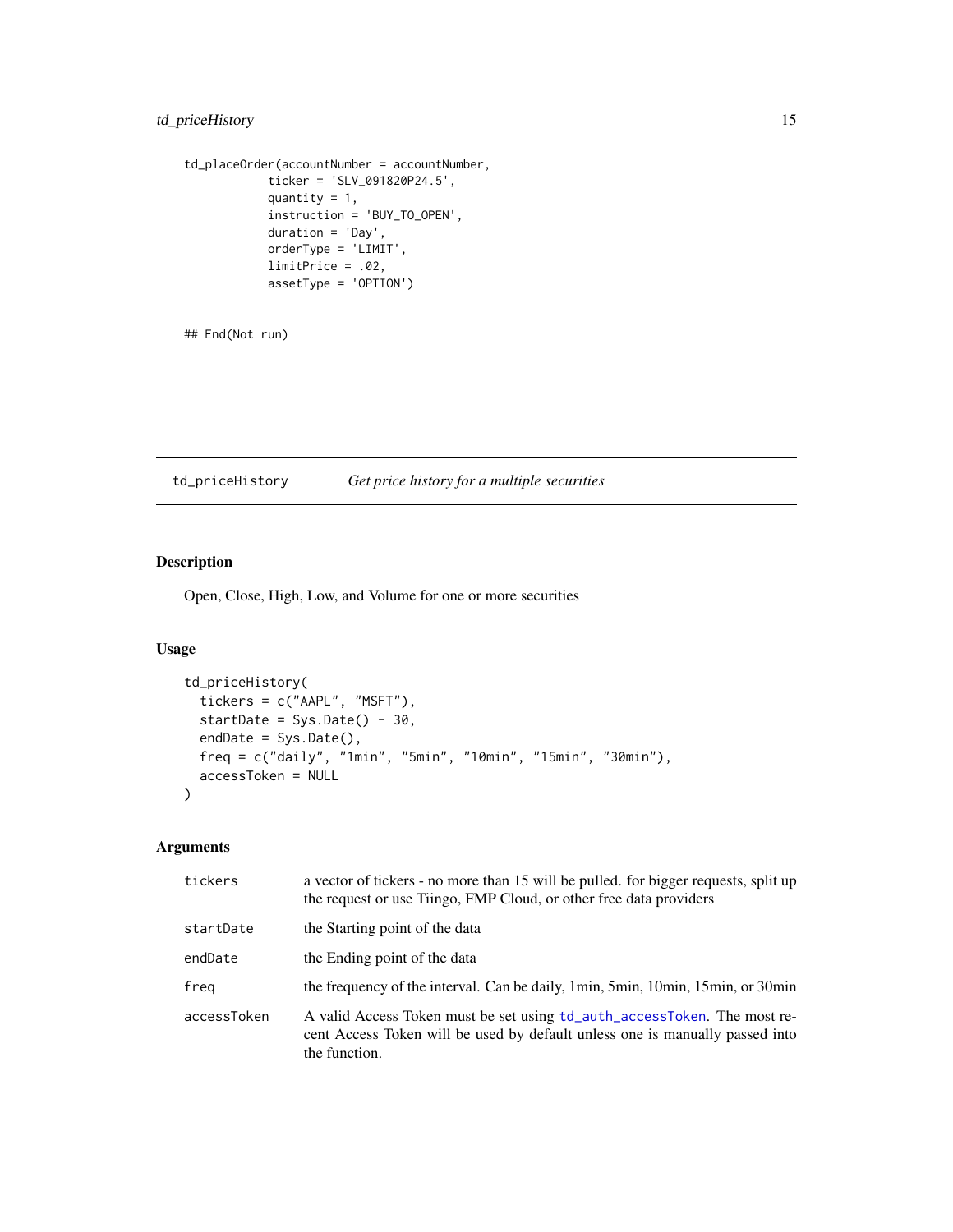#### <span id="page-14-0"></span>td\_priceHistory 15

```
td_placeOrder(accountNumber = accountNumber,
           ticker = 'SLV_091820P24.5',
            quantity = 1,
            instruction = 'BUY_TO_OPEN',
            duration = 'Day',
            orderType = 'LIMIT',
            limitPrice = .02,
            assetType = 'OPTION')
```
## End(Not run)

td\_priceHistory *Get price history for a multiple securities*

#### Description

Open, Close, High, Low, and Volume for one or more securities

#### Usage

```
td_priceHistory(
  tickers = c("AAPL", "MSFT"),
 startDate = Sys.Date() - 30,endDate = Sys.Date(),
 freq = c("daily", "1min", "5min", "10min", "15min", "30min"),
 accessToken = NULL
)
```

| tickers     | a vector of tickers - no more than 15 will be pulled. for bigger requests, split up<br>the request or use Tiingo, FMP Cloud, or other free data providers                 |
|-------------|---------------------------------------------------------------------------------------------------------------------------------------------------------------------------|
| startDate   | the Starting point of the data                                                                                                                                            |
| endDate     | the Ending point of the data                                                                                                                                              |
| freg        | the frequency of the interval. Can be daily, 1min, 5min, 10min, 15min, or 30min                                                                                           |
| accessToken | A valid Access Token must be set using td_auth_accessToken. The most re-<br>cent Access Token will be used by default unless one is manually passed into<br>the function. |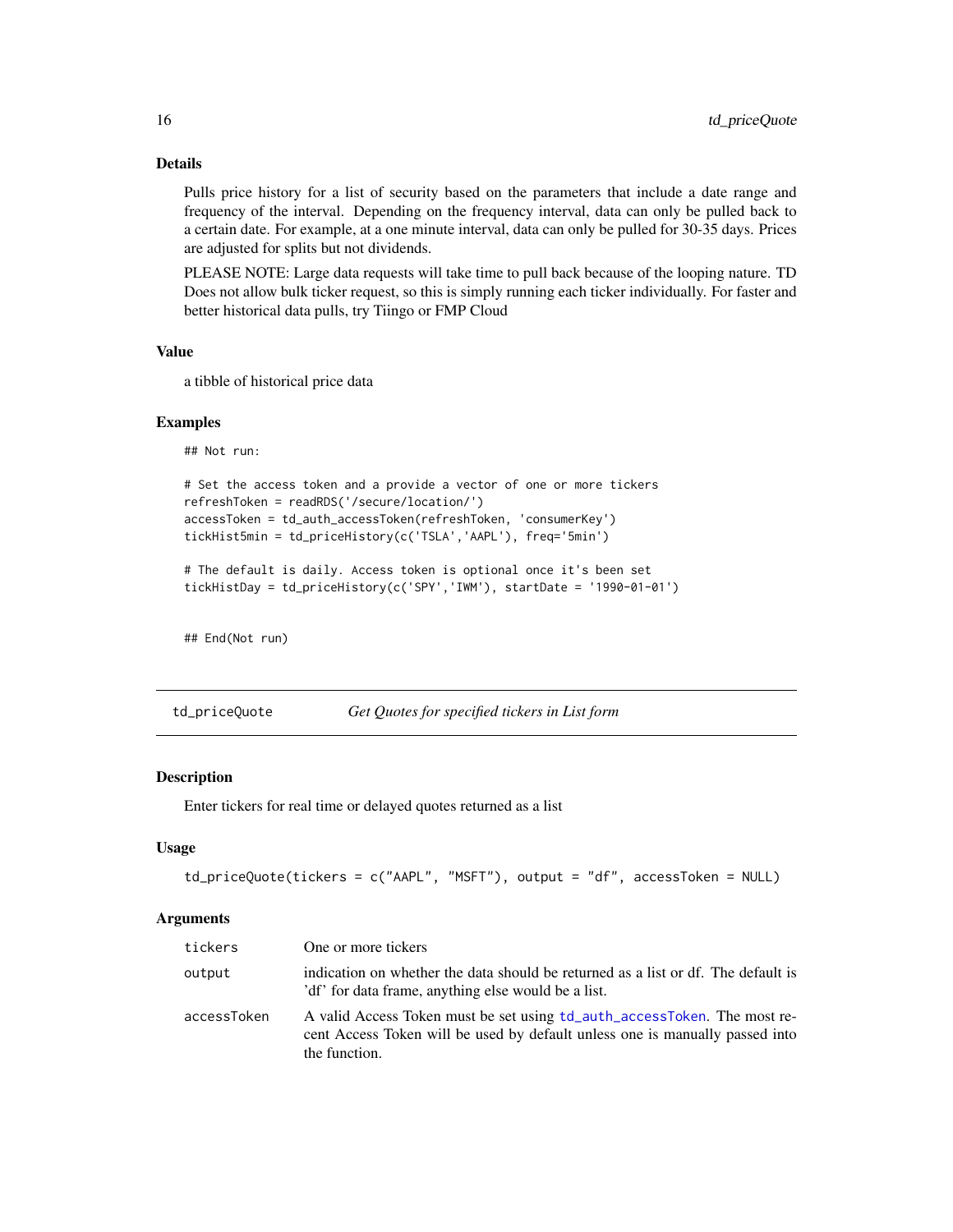Pulls price history for a list of security based on the parameters that include a date range and frequency of the interval. Depending on the frequency interval, data can only be pulled back to a certain date. For example, at a one minute interval, data can only be pulled for 30-35 days. Prices are adjusted for splits but not dividends.

PLEASE NOTE: Large data requests will take time to pull back because of the looping nature. TD Does not allow bulk ticker request, so this is simply running each ticker individually. For faster and better historical data pulls, try Tiingo or FMP Cloud

#### Value

a tibble of historical price data

#### Examples

## Not run:

```
# Set the access token and a provide a vector of one or more tickers
refreshToken = readRDS('/secure/location/')
accessToken = td_auth_accessToken(refreshToken, 'consumerKey')
tickHist5min = td_priceHistory(c('TSLA','AAPL'), freq='5min')
```

```
# The default is daily. Access token is optional once it's been set
tickHistDay = td_priceHistory(c('SPY','IWM'), startDate = '1990-01-01')
```
## End(Not run)

td\_priceQuote *Get Quotes for specified tickers in List form*

#### Description

Enter tickers for real time or delayed quotes returned as a list

#### Usage

```
td_priceQuote(tickers = c("AAPL", "MSFT"), output = "df", accessToken = NULL)
```

| tickers     | One or more tickers                                                                                                                                                       |
|-------------|---------------------------------------------------------------------------------------------------------------------------------------------------------------------------|
| output      | indication on whether the data should be returned as a list or df. The default is<br>'df' for data frame, anything else would be a list.                                  |
| accessToken | A valid Access Token must be set using td_auth_accessToken. The most re-<br>cent Access Token will be used by default unless one is manually passed into<br>the function. |

<span id="page-15-0"></span>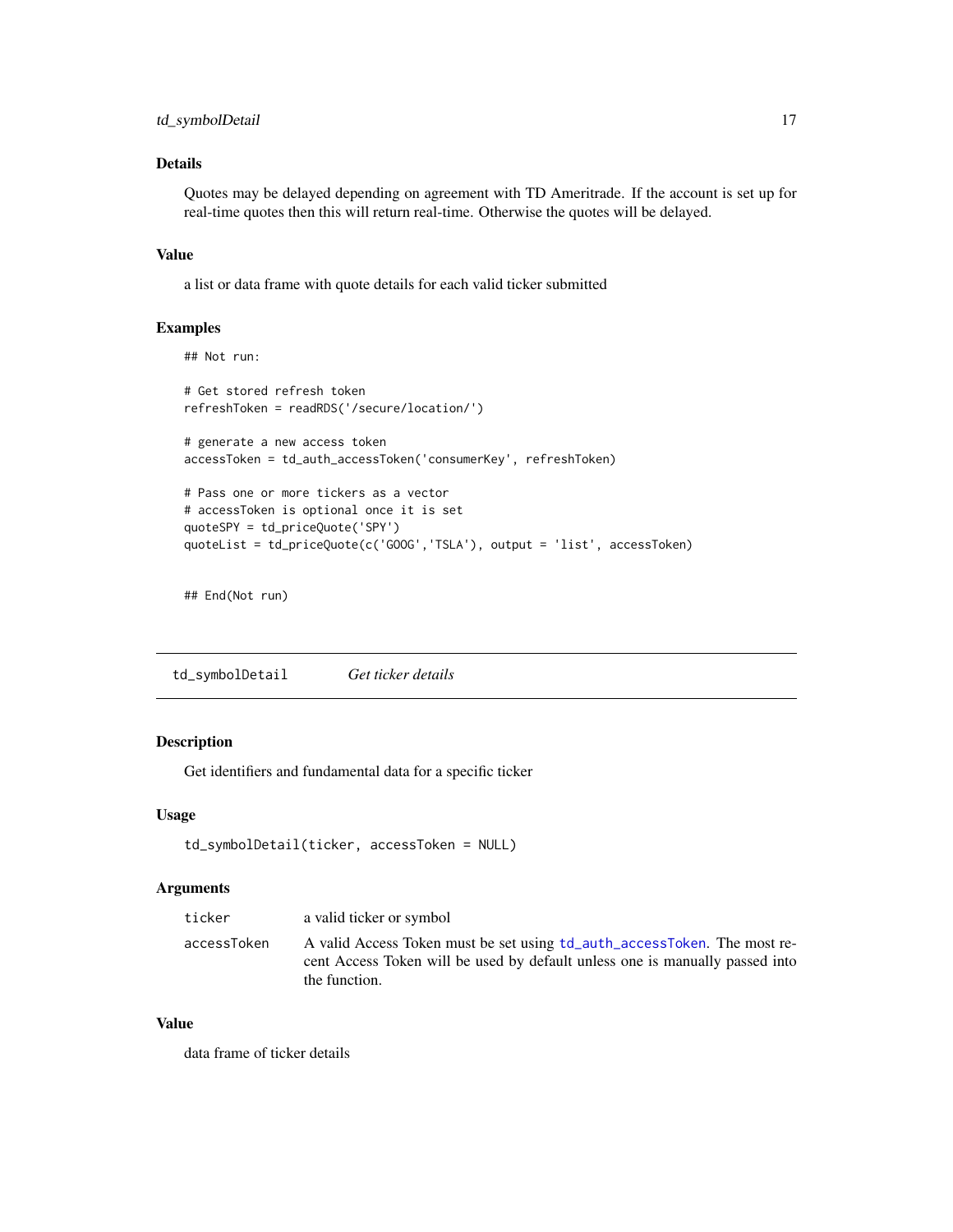<span id="page-16-0"></span>Quotes may be delayed depending on agreement with TD Ameritrade. If the account is set up for real-time quotes then this will return real-time. Otherwise the quotes will be delayed.

#### Value

a list or data frame with quote details for each valid ticker submitted

#### Examples

```
## Not run:
```

```
# Get stored refresh token
refreshToken = readRDS('/secure/location/')
# generate a new access token
accessToken = td_auth_accessToken('consumerKey', refreshToken)
# Pass one or more tickers as a vector
# accessToken is optional once it is set
quoteSPY = td_priceQuote('SPY')
quoteList = td_priceQuote(c('GOOG','TSLA'), output = 'list', accessToken)
```
## End(Not run)

td\_symbolDetail *Get ticker details*

#### Description

Get identifiers and fundamental data for a specific ticker

#### Usage

```
td_symbolDetail(ticker, accessToken = NULL)
```
#### Arguments

| ticker      | a valid ticker or symbol                                                                                                                                                  |
|-------------|---------------------------------------------------------------------------------------------------------------------------------------------------------------------------|
| accessToken | A valid Access Token must be set using td_auth_accessToken. The most re-<br>cent Access Token will be used by default unless one is manually passed into<br>the function. |

#### Value

data frame of ticker details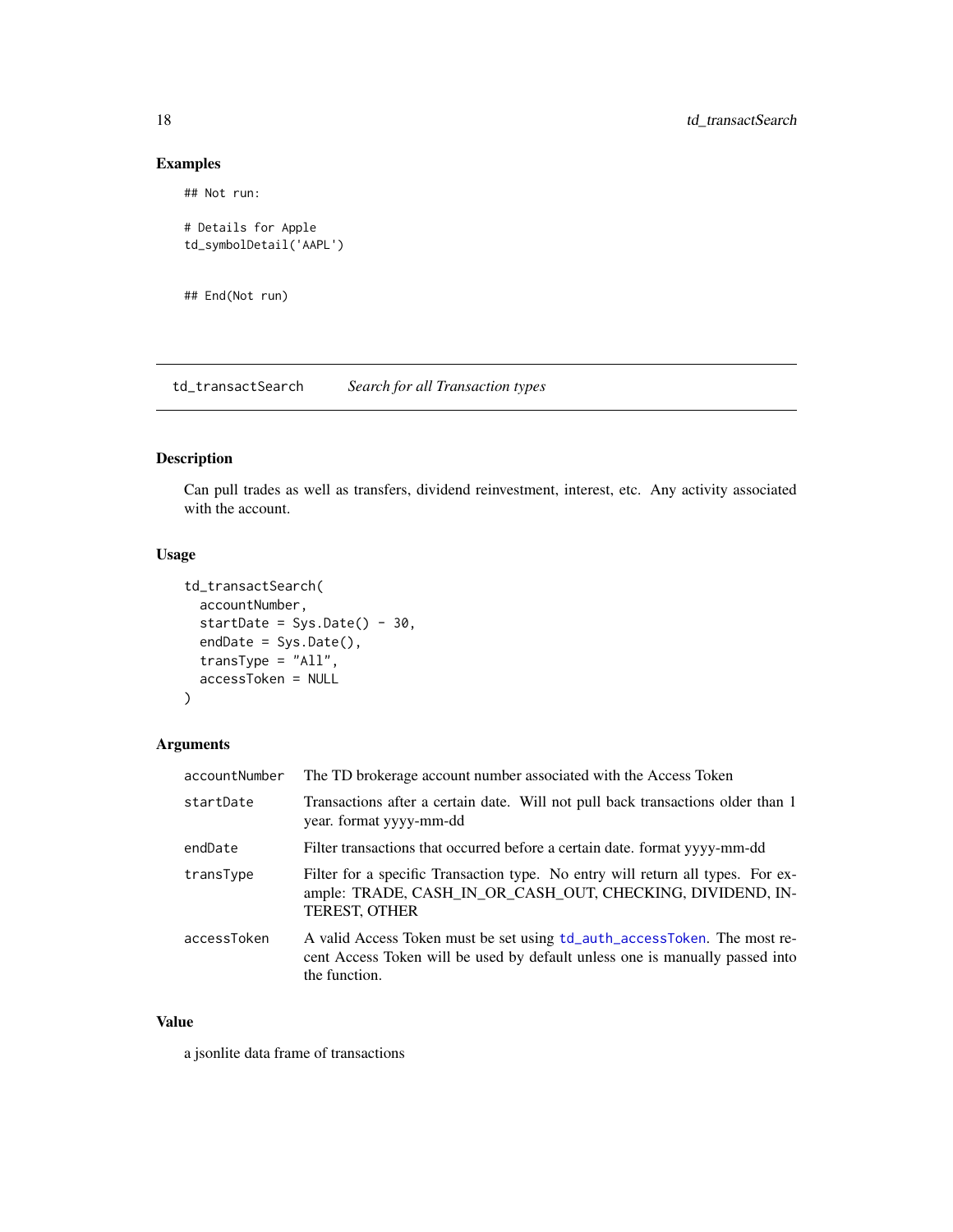#### Examples

## Not run:

```
# Details for Apple
td_symbolDetail('AAPL')
```
## End(Not run)

td\_transactSearch *Search for all Transaction types*

#### Description

Can pull trades as well as transfers, dividend reinvestment, interest, etc. Any activity associated with the account.

#### Usage

```
td_transactSearch(
 accountNumber,
  startDate = Sys.Date() - 30,endDate = Sys.Date(),
 transType = "All",accessToken = NULL
)
```
#### Arguments

| accountNumber | The TD brokerage account number associated with the Access Token                                                                                                          |
|---------------|---------------------------------------------------------------------------------------------------------------------------------------------------------------------------|
| startDate     | Transactions after a certain date. Will not pull back transactions older than 1<br>year. format yyyy-mm-dd                                                                |
| endDate       | Filter transactions that occurred before a certain date. format yyyy-mm-dd                                                                                                |
| transType     | Filter for a specific Transaction type. No entry will return all types. For ex-<br>ample: TRADE, CASH_IN_OR_CASH_OUT, CHECKING, DIVIDEND, IN-<br><b>TEREST, OTHER</b>     |
| accessToken   | A valid Access Token must be set using td_auth_accessToken. The most re-<br>cent Access Token will be used by default unless one is manually passed into<br>the function. |

#### Value

a jsonlite data frame of transactions

<span id="page-17-0"></span>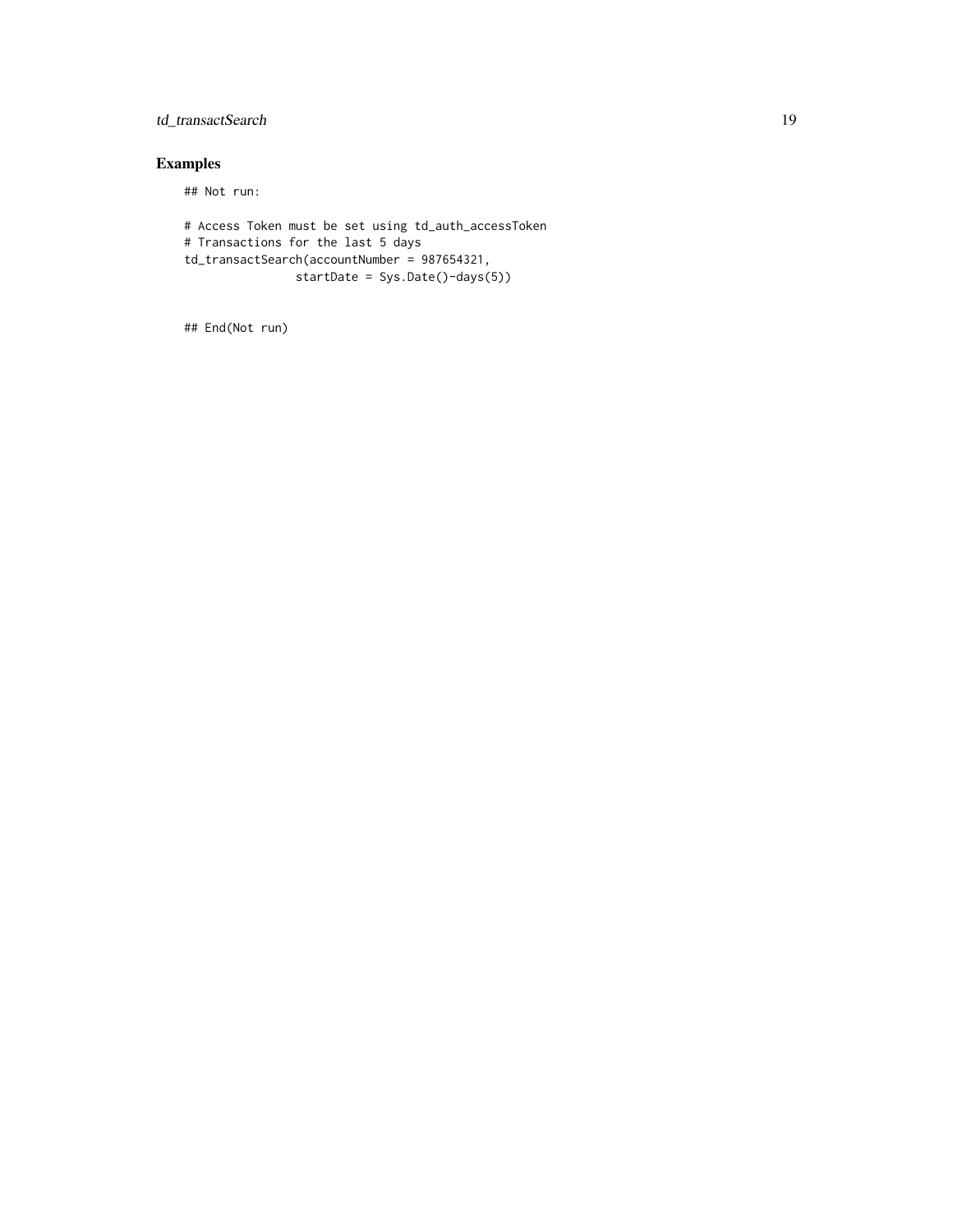#### td\_transactSearch 19

### Examples

## Not run:

```
# Access Token must be set using td_auth_accessToken
# Transactions for the last 5 days
td_transactSearch(accountNumber = 987654321,
               startDate = Sys.Date()-days(5))
```
## End(Not run)